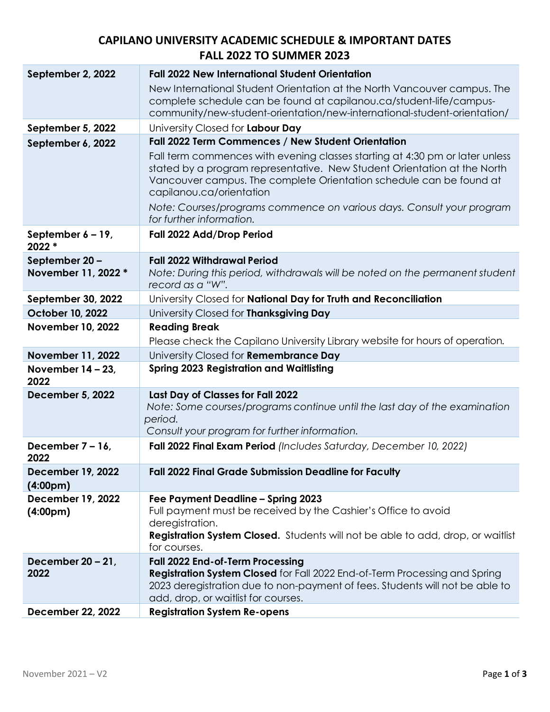| September 2, 2022                                 | <b>Fall 2022 New International Student Orientation</b>                                                                                                                                                                          |
|---------------------------------------------------|---------------------------------------------------------------------------------------------------------------------------------------------------------------------------------------------------------------------------------|
|                                                   | New International Student Orientation at the North Vancouver campus. The                                                                                                                                                        |
|                                                   | complete schedule can be found at capilanou.ca/student-life/campus-                                                                                                                                                             |
|                                                   | community/new-student-orientation/new-international-student-orientation/                                                                                                                                                        |
| September 5, 2022                                 | University Closed for Labour Day                                                                                                                                                                                                |
| September 6, 2022                                 | Fall 2022 Term Commences / New Student Orientation                                                                                                                                                                              |
|                                                   | Fall term commences with evening classes starting at 4:30 pm or later unless<br>stated by a program representative. New Student Orientation at the North<br>Vancouver campus. The complete Orientation schedule can be found at |
|                                                   | capilanou.ca/orientation                                                                                                                                                                                                        |
|                                                   | Note: Courses/programs commence on various days. Consult your program<br>for further information.                                                                                                                               |
| September $6 - 19$ ,<br>2022 *                    | Fall 2022 Add/Drop Period                                                                                                                                                                                                       |
| September 20-                                     | <b>Fall 2022 Withdrawal Period</b>                                                                                                                                                                                              |
| November 11, 2022 *                               | Note: During this period, withdrawals will be noted on the permanent student                                                                                                                                                    |
|                                                   | record as a "W".                                                                                                                                                                                                                |
| September 30, 2022                                | University Closed for National Day for Truth and Reconciliation                                                                                                                                                                 |
| October 10, 2022                                  | University Closed for Thanksgiving Day                                                                                                                                                                                          |
| <b>November 10, 2022</b>                          | <b>Reading Break</b><br>Please check the Capilano University Library website for hours of operation.                                                                                                                            |
| <b>November 11, 2022</b>                          | University Closed for Remembrance Day                                                                                                                                                                                           |
| November $14 - 23$ ,                              | <b>Spring 2023 Registration and Waitlisting</b>                                                                                                                                                                                 |
| 2022                                              |                                                                                                                                                                                                                                 |
| <b>December 5, 2022</b>                           | Last Day of Classes for Fall 2022                                                                                                                                                                                               |
|                                                   | Note: Some courses/programs continue until the last day of the examination                                                                                                                                                      |
|                                                   | period.<br>Consult your program for further information.                                                                                                                                                                        |
| December 7 – 16,                                  | Fall 2022 Final Exam Period (Includes Saturday, December 10, 2022)                                                                                                                                                              |
| 2022                                              |                                                                                                                                                                                                                                 |
| <b>December 19, 2022</b><br>(4:00 <sub>pm</sub> ) | <b>Fall 2022 Final Grade Submission Deadline for Faculty</b>                                                                                                                                                                    |
| <b>December 19, 2022</b>                          | Fee Payment Deadline - Spring 2023                                                                                                                                                                                              |
| (4:00 <sub>pm</sub> )                             | Full payment must be received by the Cashier's Office to avoid                                                                                                                                                                  |
|                                                   | deregistration.<br><b>Registration System Closed.</b> Students will not be able to add, drop, or waitlist                                                                                                                       |
|                                                   | for courses.                                                                                                                                                                                                                    |
| December $20 - 21$ ,                              | Fall 2022 End-of-Term Processing                                                                                                                                                                                                |
| 2022                                              | <b>Registration System Closed</b> for Fall 2022 End-of-Term Processing and Spring                                                                                                                                               |
|                                                   | 2023 deregistration due to non-payment of fees. Students will not be able to<br>add, drop, or waitlist for courses.                                                                                                             |
|                                                   |                                                                                                                                                                                                                                 |
| <b>December 22, 2022</b>                          | <b>Registration System Re-opens</b>                                                                                                                                                                                             |

## **CAPILANO UNIVERSITY ACADEMIC SCHEDULE & IMPORTANT DATES FALL 2022 TO SUMMER 2023**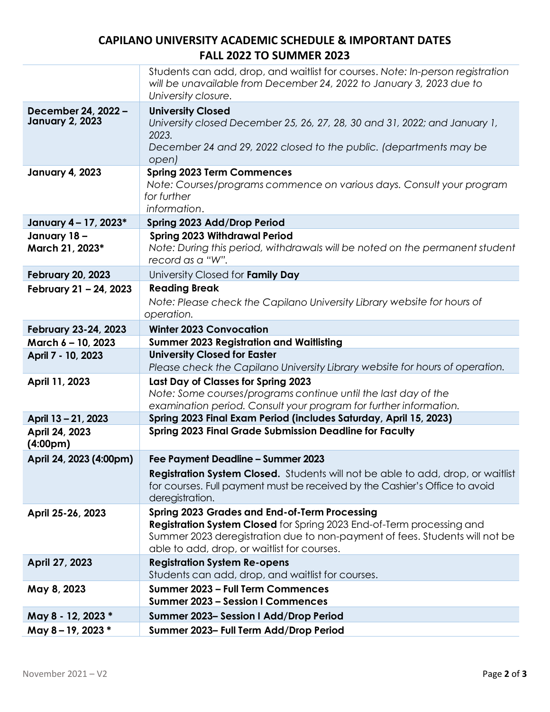## **CAPILANO UNIVERSITY ACADEMIC SCHEDULE & IMPORTANT DATES FALL 2022 TO SUMMER 2023**

|                                               | Students can add, drop, and waitlist for courses. Note: In-person registration<br>will be unavailable from December 24, 2022 to January 3, 2023 due to<br>University closure.                                                                                      |
|-----------------------------------------------|--------------------------------------------------------------------------------------------------------------------------------------------------------------------------------------------------------------------------------------------------------------------|
| December 24, 2022 -<br><b>January 2, 2023</b> | <b>University Closed</b><br>University closed December 25, 26, 27, 28, 30 and 31, 2022; and January 1,<br>2023.                                                                                                                                                    |
|                                               | December 24 and 29, 2022 closed to the public. (departments may be<br>open)                                                                                                                                                                                        |
| <b>January 4, 2023</b>                        | <b>Spring 2023 Term Commences</b><br>Note: Courses/programs commence on various days. Consult your program<br>for further<br>information.                                                                                                                          |
| January 4 - 17, 2023*                         | Spring 2023 Add/Drop Period                                                                                                                                                                                                                                        |
| January 18-<br>March 21, 2023*                | <b>Spring 2023 Withdrawal Period</b><br>Note: During this period, withdrawals will be noted on the permanent student<br>record as a "W".                                                                                                                           |
| <b>February 20, 2023</b>                      | University Closed for Family Day                                                                                                                                                                                                                                   |
| February 21 - 24, 2023                        | <b>Reading Break</b>                                                                                                                                                                                                                                               |
|                                               | Note: Please check the Capilano University Library website for hours of<br>operation.                                                                                                                                                                              |
| February 23-24, 2023                          | <b>Winter 2023 Convocation</b>                                                                                                                                                                                                                                     |
| March 6 - 10, 2023                            | <b>Summer 2023 Registration and Waitlisting</b>                                                                                                                                                                                                                    |
| April 7 - 10, 2023                            | <b>University Closed for Easter</b>                                                                                                                                                                                                                                |
|                                               | Please check the Capilano University Library website for hours of operation.                                                                                                                                                                                       |
| April 11, 2023                                | Last Day of Classes for Spring 2023<br>Note: Some courses/programs continue until the last day of the                                                                                                                                                              |
| April 13 - 21, 2023                           | examination period. Consult your program for further information.<br>Spring 2023 Final Exam Period (includes Saturday, April 15, 2023)                                                                                                                             |
| April 24, 2023<br>(4:00 <sub>pm</sub> )       | <b>Spring 2023 Final Grade Submission Deadline for Faculty</b>                                                                                                                                                                                                     |
| April 24, 2023 (4:00pm)                       | Fee Payment Deadline - Summer 2023                                                                                                                                                                                                                                 |
|                                               | <b>Registration System Closed.</b> Students will not be able to add, drop, or waitlist<br>for courses. Full payment must be received by the Cashier's Office to avoid<br>deregistration.                                                                           |
| April 25-26, 2023                             | <b>Spring 2023 Grades and End-of-Term Processing</b><br><b>Registration System Closed</b> for Spring 2023 End-of-Term processing and<br>Summer 2023 deregistration due to non-payment of fees. Students will not be<br>able to add, drop, or waitlist for courses. |
| April 27, 2023                                | <b>Registration System Re-opens</b><br>Students can add, drop, and waitlist for courses.                                                                                                                                                                           |
| May 8, 2023                                   | Summer 2023 - Full Term Commences<br><b>Summer 2023 - Session I Commences</b>                                                                                                                                                                                      |
| May 8 - 12, 2023 *                            | Summer 2023-Session I Add/Drop Period                                                                                                                                                                                                                              |